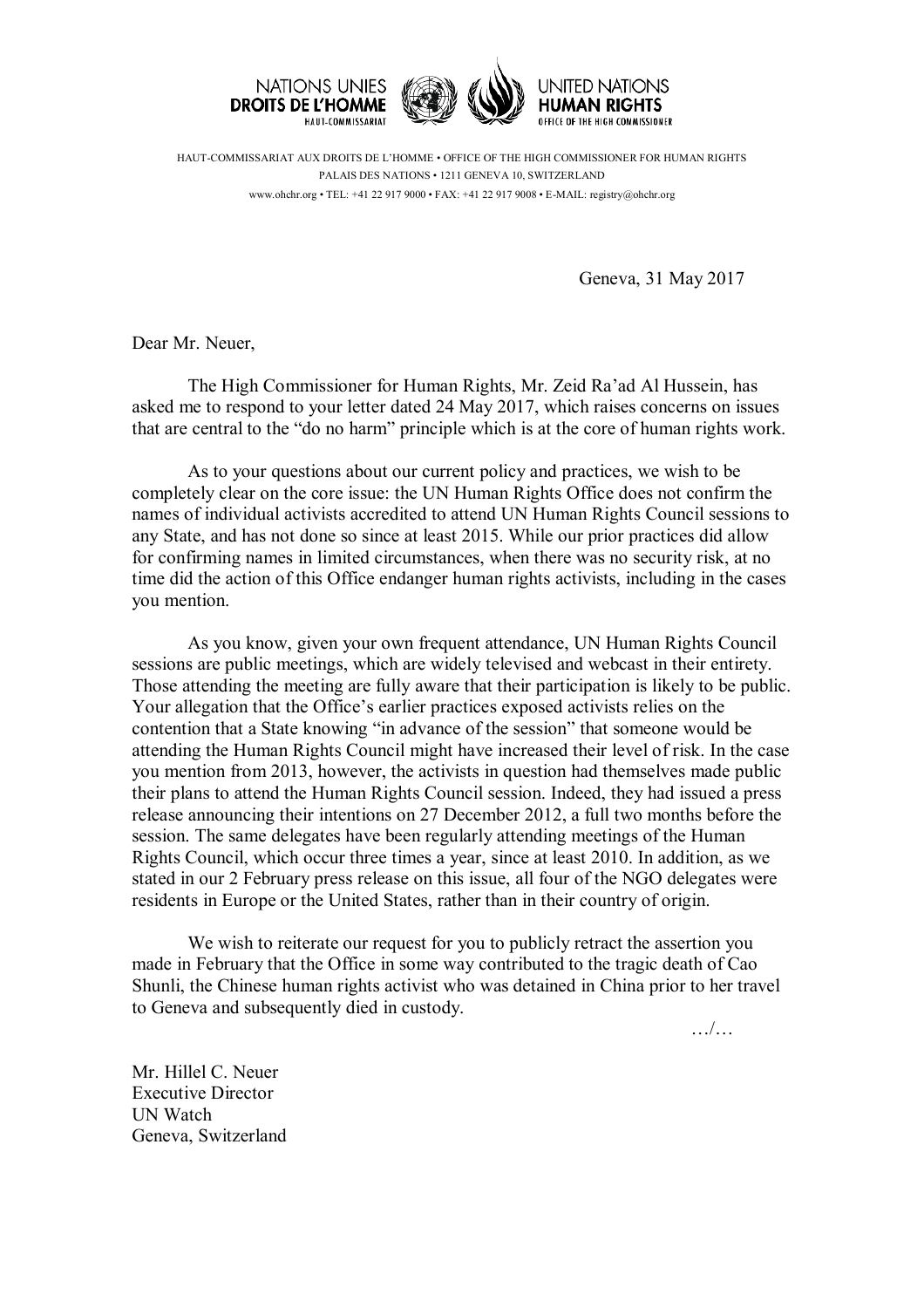

HAUT-COMMISSARIAT AUX DROITS DE L'HOMME • OFFICE OF THE HIGH COMMISSIONER FOR HUMAN RIGHTS PALAIS DES NATIONS • 1211 GENEVA 10, SWITZERLAND www.ohchr.org • TEL: +41 22 917 9000 • FAX: +41 22 917 9008 • E-MAIL: registry@ohchr.org

Geneva, 31 May 2017

Dear Mr. Neuer,

The High Commissioner for Human Rights, Mr. Zeid Ra'ad Al Hussein, has asked me to respond to your letter dated 24 May 2017, which raises concerns on issues that are central to the "do no harm" principle which is at the core of human rights work.

As to your questions about our current policy and practices, we wish to be completely clear on the core issue: the UN Human Rights Office does not confirm the names of individual activists accredited to attend UN Human Rights Council sessions to any State, and has not done so since at least 2015. While our prior practices did allow for confirming names in limited circumstances, when there was no security risk, at no time did the action of this Office endanger human rights activists, including in the cases you mention.

As you know, given your own frequent attendance, UN Human Rights Council sessions are public meetings, which are widely televised and webcast in their entirety. Those attending the meeting are fully aware that their participation is likely to be public. Your allegation that the Office's earlier practices exposed activists relies on the contention that a State knowing "in advance of the session" that someone would be attending the Human Rights Council might have increased their level of risk. In the case you mention from 2013, however, the activists in question had themselves made public their plans to attend the Human Rights Council session. Indeed, they had issued a press release announcing their intentions on 27 December 2012, a full two months before the session. The same delegates have been regularly attending meetings of the Human Rights Council, which occur three times a year, since at least 2010. In addition, as we stated in our 2 February press release on this issue, all four of the NGO delegates were residents in Europe or the United States, rather than in their country of origin.

We wish to reiterate our request for you to publicly retract the assertion you made in February that the Office in some way contributed to the tragic death of Cao Shunli, the Chinese human rights activist who was detained in China prior to her travel to Geneva and subsequently died in custody.

…/…

Mr. Hillel C. Neuer Executive Director UN Watch Geneva, Switzerland